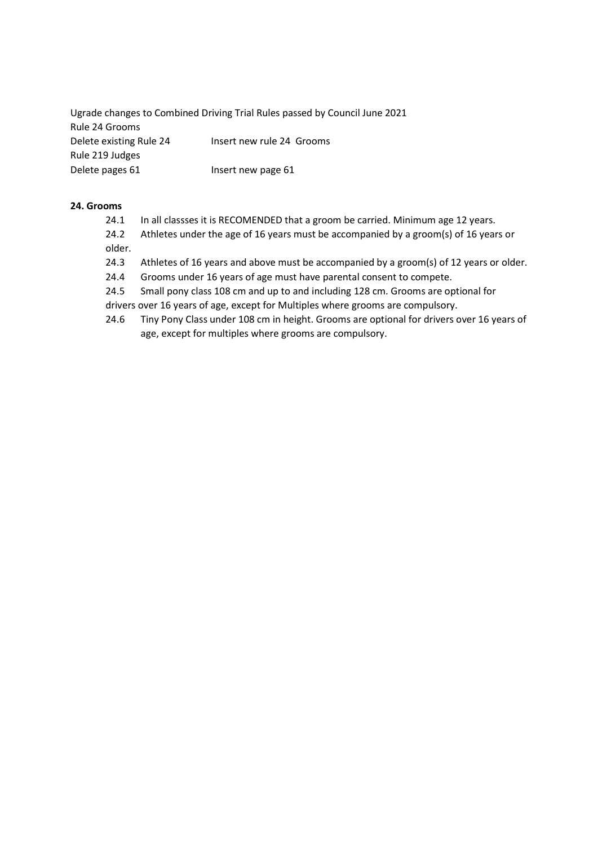Ugrade changes to Combined Driving Trial Rules passed by Council June 2021 Rule 24 Grooms Delete existing Rule 24 Insert new rule 24 Grooms Rule 219 Judges Delete pages 61 Insert new page 61

# 24. Grooms

24.1 In all classses it is RECOMENDED that a groom be carried. Minimum age 12 years.

24.2 Athletes under the age of 16 years must be accompanied by a groom(s) of 16 years or older.

- 24.3 Athletes of 16 years and above must be accompanied by a groom(s) of 12 years or older.
- 24.4 Grooms under 16 years of age must have parental consent to compete.
- 24.5 Small pony class 108 cm and up to and including 128 cm. Grooms are optional for drivers over 16 years of age, except for Multiples where grooms are compulsory.
- 24.6 Tiny Pony Class under 108 cm in height. Grooms are optional for drivers over 16 years of age, except for multiples where grooms are compulsory.